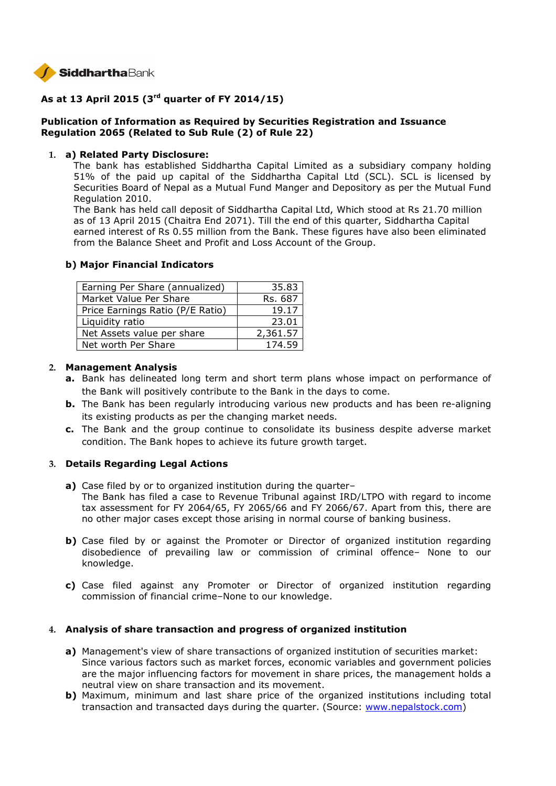

# **As at 13 April 2015 (3rd quarter of FY 2014/15)**

## **Publication of Information as Required by Securities Registration and Issuance Regulation 2065 (Related to Sub Rule (2) of Rule 22)**

### **1. a) Related Party Disclosure:**

The bank has established Siddhartha Capital Limited as a subsidiary company holding 51% of the paid up capital of the Siddhartha Capital Ltd (SCL). SCL is licensed by Securities Board of Nepal as a Mutual Fund Manger and Depository as per the Mutual Fund Regulation 2010.

The Bank has held call deposit of Siddhartha Capital Ltd, Which stood at Rs 21.70 million as of 13 April 2015 (Chaitra End 2071). Till the end of this quarter, Siddhartha Capital earned interest of Rs 0.55 million from the Bank. These figures have also been eliminated from the Balance Sheet and Profit and Loss Account of the Group.

### **b) Major Financial Indicators**

| Earning Per Share (annualized)   | 35.83    |
|----------------------------------|----------|
| Market Value Per Share           | Rs. 687  |
| Price Earnings Ratio (P/E Ratio) | 19.17    |
| Liquidity ratio                  | 23.01    |
| Net Assets value per share       | 2,361.57 |
| Net worth Per Share              | 174.59   |

### **2. Management Analysis**

- **a.** Bank has delineated long term and short term plans whose impact on performance of the Bank will positively contribute to the Bank in the days to come.
- **b.** The Bank has been regularly introducing various new products and has been re-aligning its existing products as per the changing market needs.
- **c.** The Bank and the group continue to consolidate its business despite adverse market condition. The Bank hopes to achieve its future growth target.

## **3. Details Regarding Legal Actions**

- **a)** Case filed by or to organized institution during the quarter– The Bank has filed a case to Revenue Tribunal against IRD/LTPO with regard to income tax assessment for FY 2064/65, FY 2065/66 and FY 2066/67. Apart from this, there are no other major cases except those arising in normal course of banking business.
- **b)** Case filed by or against the Promoter or Director of organized institution regarding disobedience of prevailing law or commission of criminal offence– None to our knowledge.
- **c)** Case filed against any Promoter or Director of organized institution regarding commission of financial crime–None to our knowledge.

### **4. Analysis of share transaction and progress of organized institution**

- **a)** Management's view of share transactions of organized institution of securities market: Since various factors such as market forces, economic variables and government policies are the major influencing factors for movement in share prices, the management holds a neutral view on share transaction and its movement.
- **b)** Maximum, minimum and last share price of the organized institutions including total transaction and transacted days during the quarter. (Source: www.nepalstock.com)